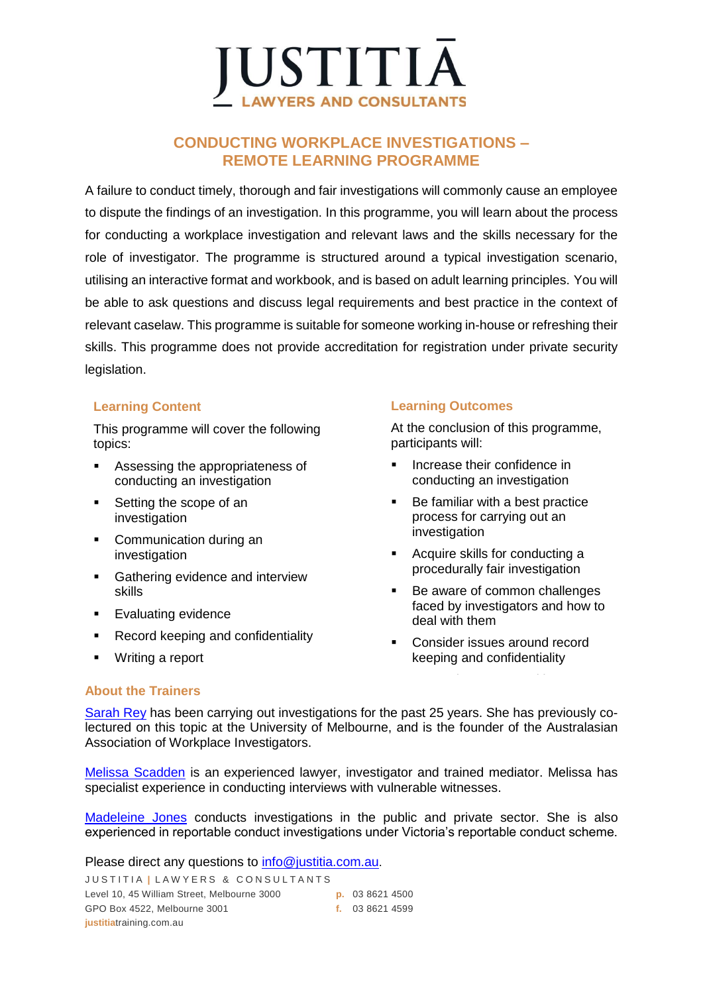

### **CONDUCTING WORKPLACE INVESTIGATIONS – REMOTE LEARNING PROGRAMME**

A failure to conduct timely, thorough and fair investigations will commonly cause an employee to dispute the findings of an investigation. In this programme, you will learn about the process for conducting a workplace investigation and relevant laws and the skills necessary for the role of investigator. The programme is structured around a typical investigation scenario, utilising an interactive format and workbook, and is based on adult learning principles. You will be able to ask questions and discuss legal requirements and best practice in the context of relevant caselaw. This programme is suitable for someone working in-house or refreshing their skills. This programme does not provide accreditation for registration under private security legislation.

### **Learning Content**

This programme will cover the following topics:

- Assessing the appropriateness of conducting an investigation
- Setting the scope of an investigation
- Communication during an investigation
- Gathering evidence and interview skills
- Evaluating evidence
- Record keeping and confidentiality
- Writing a report

### **Learning Outcomes**

At the conclusion of this programme, participants will:

- Increase their confidence in conducting an investigation
- Be familiar with a best practice process for carrying out an investigation
- Acquire skills for conducting a procedurally fair investigation
- Be aware of common challenges faced by investigators and how to deal with them
- Consider issues around record keeping and confidentiality

▪ Learn about report writing

### **About the Trainers**

[Sarah Rey](https://justitia.com.au/our-team/sarah-rey/) has been carrying out investigations for the past 25 years. She has previously colectured on this topic at the University of Melbourne, and is the founder of the Australasian Association of Workplace Investigators.

[Melissa Scadden](https://justitia.com.au/our-team/melissa-scadden/) is an experienced lawyer, investigator and trained mediator. Melissa has specialist experience in conducting interviews with vulnerable witnesses.

[Madeleine Jones](https://justitia.com.au/our-team/madeleine-jones/) conducts investigations in the public and private sector. She is also experienced in reportable conduct investigations under Victoria's reportable conduct scheme.

Please direct any questions to [info@justitia.com.au](https://remote.justitia.com.au/OWA/redir.aspx?C=pIFHFsg68If-f_76VyqD3BjuyuVETC1HMsi8lVG9a6MmAvL5A_3VCA..&URL=mailto%3ainfo%40justitia.com.au).

JUSTITIA | LAWYERS & CONSULTANTS Level 10, 45 William Street, Melbourne 3000 **p.** 03 8621 4500 GPO Box 4522, Melbourne 3001 **f.** 03 8621 4599 **justitia**training.com.au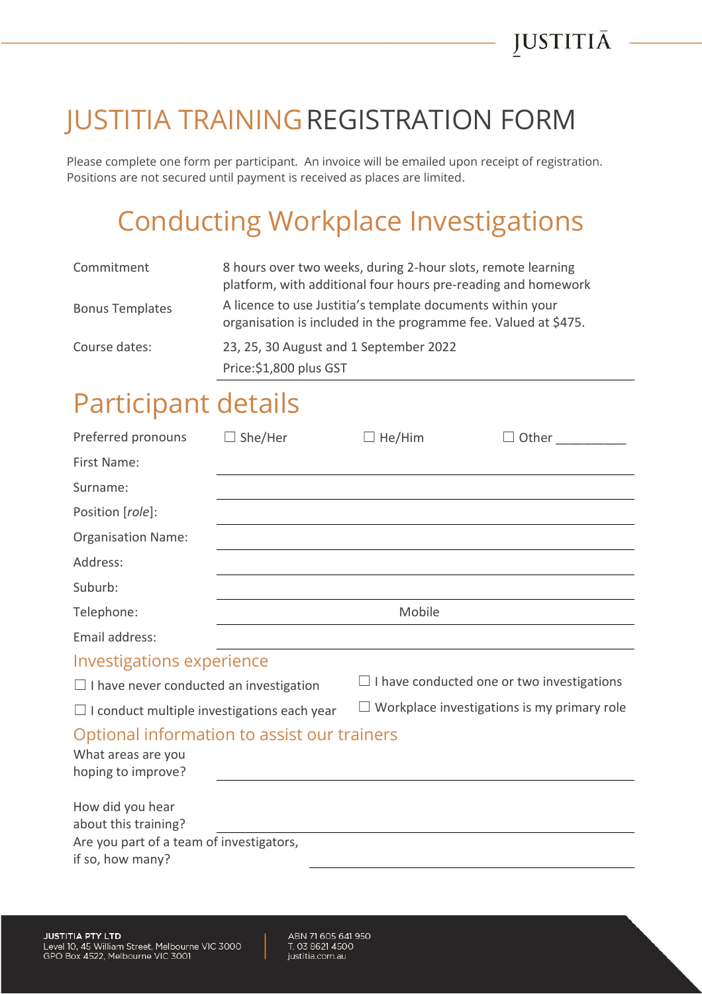## JUSTITIA TRAININGREGISTRATION FORM

Please complete one form per participant. An invoice will be emailed upon receipt of registration. Positions are not secured until payment is received as places are limited.

# Conducting Workplace Investigations

| Commitment             | 8 hours over two weeks, during 2-hour slots, remote learning<br>platform, with additional four hours pre-reading and homework |  |
|------------------------|-------------------------------------------------------------------------------------------------------------------------------|--|
| <b>Bonus Templates</b> | A licence to use Justitia's template documents within your<br>organisation is included in the programme fee. Valued at \$475. |  |
| Course dates:          | 23, 25, 30 August and 1 September 2022                                                                                        |  |
|                        | Price: \$1,800 plus GST                                                                                                       |  |

### Participant details

| Preferred pronouns                                                                                       | $\Box$ She/Her | He/Him                                             |  |  |  |
|----------------------------------------------------------------------------------------------------------|----------------|----------------------------------------------------|--|--|--|
| First Name:                                                                                              |                |                                                    |  |  |  |
| Surname:                                                                                                 |                |                                                    |  |  |  |
| Position [role]:                                                                                         |                |                                                    |  |  |  |
| <b>Organisation Name:</b>                                                                                |                |                                                    |  |  |  |
| Address:                                                                                                 |                |                                                    |  |  |  |
| Suburb:                                                                                                  |                |                                                    |  |  |  |
| Telephone:                                                                                               | Mobile         |                                                    |  |  |  |
| Email address:                                                                                           |                |                                                    |  |  |  |
| <b>Investigations experience</b>                                                                         |                |                                                    |  |  |  |
| $\Box$ I have never conducted an investigation                                                           |                | $\Box$ I have conducted one or two investigations  |  |  |  |
| $\Box$ I conduct multiple investigations each year                                                       |                | $\Box$ Workplace investigations is my primary role |  |  |  |
| Optional information to assist our trainers<br>What areas are you<br>hoping to improve?                  |                |                                                    |  |  |  |
| How did you hear<br>about this training?<br>Are you part of a team of investigators,<br>if so, how many? |                |                                                    |  |  |  |

ABN 71 605 641 950 T. 03 8621 4500 justitia.com.au